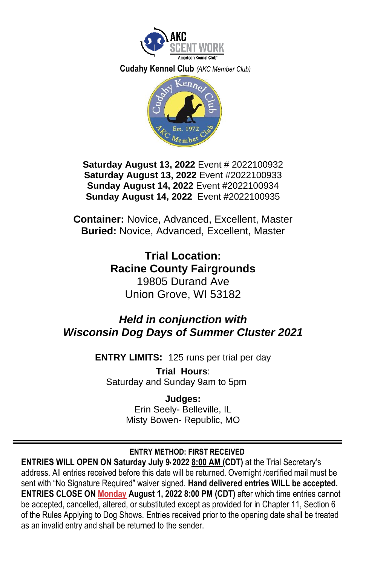

 **Cudahy Kennel Club** *(AKC Member Club)*



**Saturday August 13, 2022** Event # 2022100932 **Saturday August 13, 2022** Event #2022100933 **Sunday August 14, 2022** Event #2022100934 **Sunday August 14, 2022** Event #2022100935

**Container:** Novice, Advanced, Excellent, Master **Buried:** Novice, Advanced, Excellent, Master

> **Trial Location: Racine County Fairgrounds** 19805 Durand Ave Union Grove, WI 53182

# *Held in conjunction with Wisconsin Dog Days of Summer Cluster 2021*

**ENTRY LIMITS:** 125 runs per trial per day

**Trial Hours**: Saturday and Sunday 9am to 5pm

> **Judges:**  Erin Seely- Belleville, IL Misty Bowen- Republic, MO

# **ENTRY METHOD: FIRST RECEIVED**

**ENTRIES WILL OPEN ON Saturday July 9 , 2022 8:00 AM (CDT)** at the Trial Secretary's address. All entries received before this date will be returned. Overnight /certified mail must be sent with "No Signature Required" waiver signed. **Hand delivered entries WILL be accepted. ENTRIES CLOSE ON Monday August 1, 2022 8:00 PM (CDT)** after which time entries cannot be accepted, cancelled, altered, or substituted except as provided for in Chapter 11, Section 6 of the Rules Applying to Dog Shows. Entries received prior to the opening date shall be treated as an invalid entry and shall be returned to the sender.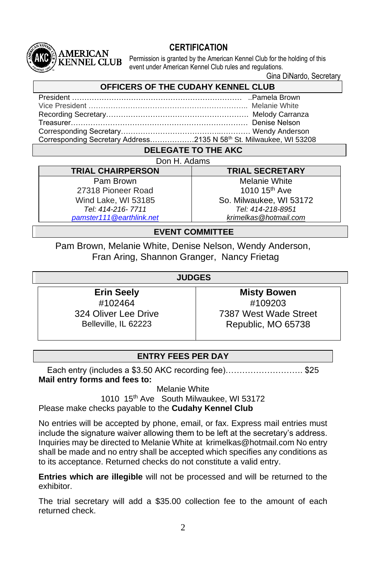# **CERTIFICATION**

Permission is granted by the American Kennel Club for the holding of this event under American Kennel Club rules and regulations.

Gina DiNardo, Secretary

## **OFFICERS OF THE CUDAHY KENNEL CLUB**

President …………………………………………………………… ..Pamela Brown Vice President ……………………………………………………….. Melanie White Recording Secretary…………………………………………………. Melody Carranza Treasurer……………………………………………………………… Denise Nelson Corresponding Secretary…………………………………..………… Wendy Anderson Corresponding Secretary Address………………2135 N 58th St. Milwaukee, WI 53208

## **DELEGATE TO THE AKC** Don H. Adams

**TRIAL CHAIRPERSON TRIAL SECRETARY** Pam Brown 27318 Pioneer Road Wind Lake, WI 53185 *Tel: 414-216- 7711 [pamster111@earthlink.net](mailto:pamster111@earthlink.net)*

**MERICAN KENNEL CLUB** 

> Melanie White 1010 15<sup>th</sup> Ave So. Milwaukee, WI 53172 *Tel: 414-218-8951 [krimelkas@hotmail.com](mailto:krimelkas@hotmail.com)*

## **EVENT COMMITTEE**

Pam Brown, Melanie White, Denise Nelson, Wendy Anderson, Fran Aring, Shannon Granger, Nancy Frietag

## **JUDGES**

**Erin Seely** #102464 324 Oliver Lee Drive Belleville, IL 62223

**Misty Bowen** #109203 7387 West Wade Street Republic, MO 65738

## **ENTRY FEES PER DAY**

Each entry (includes a \$3.50 AKC recording fee)………………………. \$25 **Mail entry forms and fees to:**

Melanie White

1010 15th Ave South Milwaukee, WI 53172

Please make checks payable to the **Cudahy Kennel Club**

No entries will be accepted by phone, email, or fax. Express mail entries must include the signature waiver allowing them to be left at the secretary's address. Inquiries may be directed to Melanie White at krimelkas@hotmail.com No entry shall be made and no entry shall be accepted which specifies any conditions as to its acceptance. Returned checks do not constitute a valid entry.

**Entries which are illegible** will not be processed and will be returned to the exhibitor.

The trial secretary will add a \$35.00 collection fee to the amount of each returned check.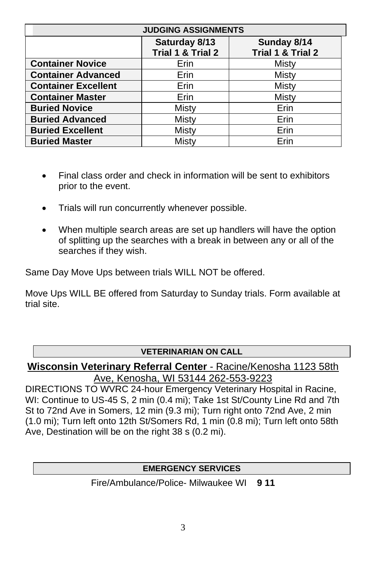| <b>JUDGING ASSIGNMENTS</b> |                                    |                                  |  |  |  |  |  |
|----------------------------|------------------------------------|----------------------------------|--|--|--|--|--|
|                            | Saturday 8/13<br>Trial 1 & Trial 2 | Sunday 8/14<br>Trial 1 & Trial 2 |  |  |  |  |  |
| <b>Container Novice</b>    | Erin                               | Misty                            |  |  |  |  |  |
| <b>Container Advanced</b>  | Erin                               | Misty                            |  |  |  |  |  |
| <b>Container Excellent</b> | Erin                               | <b>Misty</b>                     |  |  |  |  |  |
| <b>Container Master</b>    | Erin                               | <b>Misty</b>                     |  |  |  |  |  |
| <b>Buried Novice</b>       | Misty                              | Erin                             |  |  |  |  |  |
| <b>Buried Advanced</b>     | Misty                              | Erin                             |  |  |  |  |  |
| <b>Buried Excellent</b>    | Misty                              | Erin                             |  |  |  |  |  |
| <b>Buried Master</b>       | Mistv                              | Erin                             |  |  |  |  |  |

- Final class order and check in information will be sent to exhibitors prior to the event.
- Trials will run concurrently whenever possible.
- When multiple search areas are set up handlers will have the option of splitting up the searches with a break in between any or all of the searches if they wish.

Same Day Move Ups between trials WILL NOT be offered.

Move Ups WILL BE offered from Saturday to Sunday trials. Form available at trial site.

# **VETERINARIAN ON CALL**

**Wisconsin Veterinary Referral Center** - Racine/Kenosha 1123 58th Ave, Kenosha, WI 53144 262-553-9223

DIRECTIONS TO WVRC 24-hour Emergency Veterinary Hospital in Racine, WI: Continue to US-45 S, 2 min (0.4 mi); Take 1st St/County Line Rd and 7th St to 72nd Ave in Somers, 12 min (9.3 mi); Turn right onto 72nd Ave, 2 min (1.0 mi); Turn left onto 12th St/Somers Rd, 1 min (0.8 mi); Turn left onto 58th Ave, Destination will be on the right 38 s (0.2 mi).

# **EMERGENCY SERVICES**

Fire/Ambulance/Police- Milwaukee WI **9 11**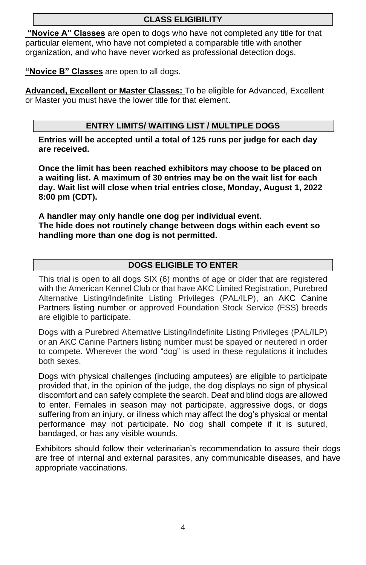# **CLASS ELIGIBILITY**

**"Novice A" Classes** are open to dogs who have not completed any title for that particular element, who have not completed a comparable title with another organization, and who have never worked as professional detection dogs.

**"Novice B" Classes** are open to all dogs.

**Advanced, Excellent or Master Classes:** To be eligible for Advanced, Excellent or Master you must have the lower title for that element.

## **ENTRY LIMITS/ WAITING LIST / MULTIPLE DOGS**

**Entries will be accepted until a total of 125 runs per judge for each day are received.** 

**Once the limit has been reached exhibitors may choose to be placed on a waiting list. A maximum of 30 entries may be on the wait list for each day. Wait list will close when trial entries close, Monday, August 1, 2022 8:00 pm (CDT).**

**A handler may only handle one dog per individual event. The hide does not routinely change between dogs within each event so handling more than one dog is not permitted.**

## **DOGS ELIGIBLE TO ENTER**

This trial is open to all dogs SIX (6) months of age or older that are registered with the American Kennel Club or that have AKC Limited Registration, Purebred Alternative Listing/Indefinite Listing Privileges (PAL/ILP), an AKC Canine Partners listing number or approved Foundation Stock Service (FSS) breeds are eligible to participate.

Dogs with a Purebred Alternative Listing/Indefinite Listing Privileges (PAL/ILP) or an AKC Canine Partners listing number must be spayed or neutered in order to compete. Wherever the word "dog" is used in these regulations it includes both sexes.

Dogs with physical challenges (including amputees) are eligible to participate provided that, in the opinion of the judge, the dog displays no sign of physical discomfort and can safely complete the search. Deaf and blind dogs are allowed to enter. Females in season may not participate, aggressive dogs, or dogs suffering from an injury, or illness which may affect the dog's physical or mental performance may not participate. No dog shall compete if it is sutured, bandaged, or has any visible wounds.

Exhibitors should follow their veterinarian's recommendation to assure their dogs are free of internal and external parasites, any communicable diseases, and have appropriate vaccinations.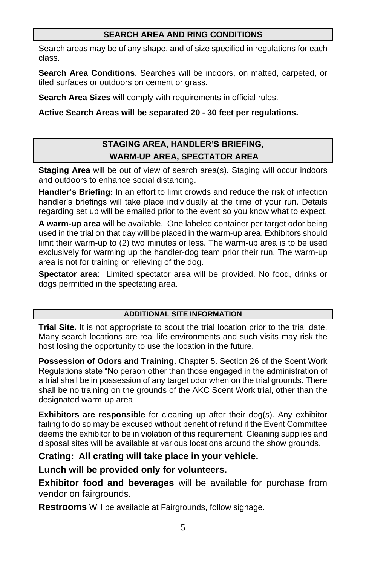## **SEARCH AREA AND RING CONDITIONS**

Search areas may be of any shape, and of size specified in regulations for each class.

**Search Area Conditions**. Searches will be indoors, on matted, carpeted, or tiled surfaces or outdoors on cement or grass.

**Search Area Sizes** will comply with requirements in official rules.

## **Active Search Areas will be separated 20 - 30 feet per regulations.**

# **STAGING AREA, HANDLER'S BRIEFING, WARM-UP AREA, SPECTATOR AREA**

**Staging Area** will be out of view of search area(s). Staging will occur indoors and outdoors to enhance social distancing.

**Handler's Briefing:** In an effort to limit crowds and reduce the risk of infection handler's briefings will take place individually at the time of your run. Details regarding set up will be emailed prior to the event so you know what to expect.

**A warm-up area** will be available. One labeled container per target odor being used in the trial on that day will be placed in the warm-up area. Exhibitors should limit their warm-up to (2) two minutes or less. The warm-up area is to be used exclusively for warming up the handler-dog team prior their run. The warm-up area is not for training or relieving of the dog.

**Spectator area**: Limited spectator area will be provided. No food, drinks or dogs permitted in the spectating area.

#### **ADDITIONAL SITE INFORMATION**

**Trial Site.** It is not appropriate to scout the trial location prior to the trial date. Many search locations are real-life environments and such visits may risk the host losing the opportunity to use the location in the future.

**Possession of Odors and Training**. Chapter 5. Section 26 of the Scent Work Regulations state "No person other than those engaged in the administration of a trial shall be in possession of any target odor when on the trial grounds. There shall be no training on the grounds of the AKC Scent Work trial, other than the designated warm-up area

**Exhibitors are responsible** for cleaning up after their dog(s). Any exhibitor failing to do so may be excused without benefit of refund if the Event Committee deems the exhibitor to be in violation of this requirement. Cleaning supplies and disposal sites will be available at various locations around the show grounds.

# **Crating: All crating will take place in your vehicle.**

# **Lunch will be provided only for volunteers.**

**Exhibitor food and beverages** will be available for purchase from vendor on fairgrounds.

**Restrooms** Will be available at Fairgrounds, follow signage.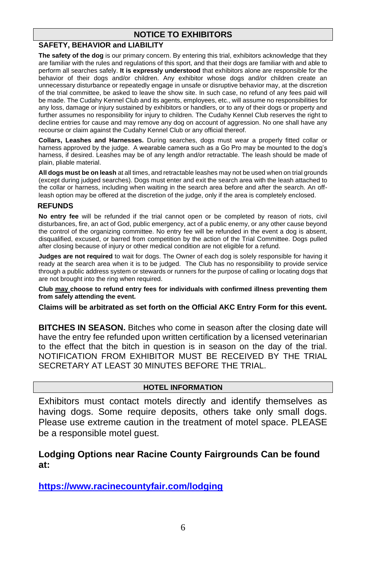## **NOTICE TO EXHIBITORS**

#### **SAFETY, BEHAVIOR and LIABILITY**

**The safety of the dog** is our primary concern. By entering this trial, exhibitors acknowledge that they are familiar with the rules and regulations of this sport, and that their dogs are familiar with and able to perform all searches safely. **It is expressly understood** that exhibitors alone are responsible for the behavior of their dogs and/or children. Any exhibitor whose dogs and/or children create an unnecessary disturbance or repeatedly engage in unsafe or disruptive behavior may, at the discretion of the trial committee, be asked to leave the show site. In such case, no refund of any fees paid will be made. The Cudahy Kennel Club and its agents, employees, etc., will assume no responsibilities for any loss, damage or injury sustained by exhibitors or handlers, or to any of their dogs or property and further assumes no responsibility for injury to children. The Cudahy Kennel Club reserves the right to decline entries for cause and may remove any dog on account of aggression. No one shall have any recourse or claim against the Cudahy Kennel Club or any official thereof.

**Collars, Leashes and Harnesses.** During searches, dogs must wear a properly fitted collar or harness approved by the judge. A wearable camera such as a Go Pro may be mounted to the dog's harness, if desired. Leashes may be of any length and/or retractable. The leash should be made of plain, pliable material.

**All dogs must be on leash** at all times, and retractable leashes may not be used when on trial grounds (except during judged searches). Dogs must enter and exit the search area with the leash attached to the collar or harness, including when waiting in the search area before and after the search. An offleash option may be offered at the discretion of the judge, only if the area is completely enclosed.

#### **REFUNDS**

**No entry fee** will be refunded if the trial cannot open or be completed by reason of riots, civil disturbances, fire, an act of God, public emergency, act of a public enemy, or any other cause beyond the control of the organizing committee. No entry fee will be refunded in the event a dog is absent, disqualified, excused, or barred from competition by the action of the Trial Committee. Dogs pulled after closing because of injury or other medical condition are not eligible for a refund.

**Judges are not required** to wait for dogs. The Owner of each dog is solely responsible for having it ready at the search area when it is to be judged. The Club has no responsibility to provide service through a public address system or stewards or runners for the purpose of calling or locating dogs that are not brought into the ring when required.

**Club may choose to refund entry fees for individuals with confirmed illness preventing them from safely attending the event.**

**Claims will be arbitrated as set forth on the Official AKC Entry Form for this event.** 

**BITCHES IN SEASON.** Bitches who come in season after the closing date will have the entry fee refunded upon written certification by a licensed veterinarian to the effect that the bitch in question is in season on the day of the trial. NOTIFICATION FROM EXHIBITOR MUST BE RECEIVED BY THE TRIAL SECRETARY AT LEAST 30 MINUTES BEFORE THE TRIAL.

### **HOTEL INFORMATION**

Exhibitors must contact motels directly and identify themselves as having dogs. Some require deposits, others take only small dogs. Please use extreme caution in the treatment of motel space. PLEASE be a responsible motel guest.

## **Lodging Options near Racine County Fairgrounds Can be found at:**

**<https://www.racinecountyfair.com/lodging>**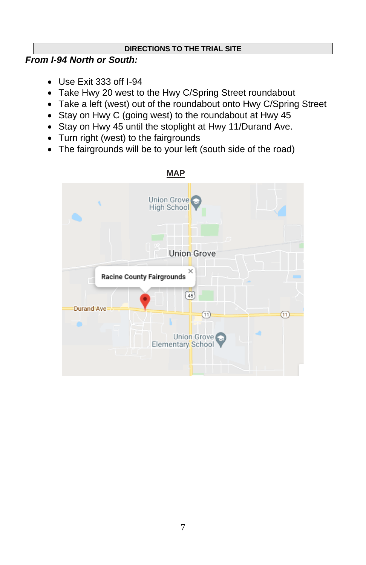# **DIRECTIONS TO THE TRIAL SITE**

# *From I-94 North or South:*

- Use Exit 333 off I-94
- Take Hwy 20 west to the Hwy C/Spring Street roundabout
- Take a left (west) out of the roundabout onto Hwy C/Spring Street
- Stay on Hwy C (going west) to the roundabout at Hwy 45
- Stay on Hwy 45 until the stoplight at Hwy 11/Durand Ave.
- Turn right (west) to the fairgrounds
- The fairgrounds will be to your left (south side of the road)

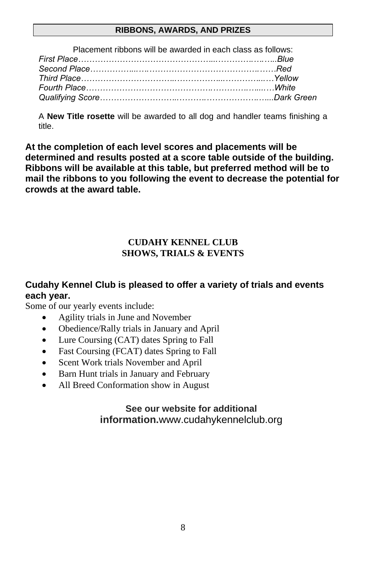## **RIBBONS, AWARDS, AND PRIZES**

| Placement ribbons will be awarded in each class as follows: |  |
|-------------------------------------------------------------|--|
|                                                             |  |
|                                                             |  |
|                                                             |  |
|                                                             |  |
|                                                             |  |

A **New Title rosette** will be awarded to all dog and handler teams finishing a title.

**At the completion of each level scores and placements will be determined and results posted at a score table outside of the building. Ribbons will be available at this table, but preferred method will be to mail the ribbons to you following the event to decrease the potential for crowds at the award table.** 

# **CUDAHY KENNEL CLUB SHOWS, TRIALS & EVENTS**

# **Cudahy Kennel Club is pleased to offer a variety of trials and events each year.**

Some of our yearly events include:

- Agility trials in June and November
- Obedience/Rally trials in January and April
- Lure Coursing (CAT) dates Spring to Fall
- Fast Coursing (FCAT) dates Spring to Fall
- Scent Work trials November and April
- Barn Hunt trials in January and February
- All Breed Conformation show in August

# **See our website for additional information.**www.cudahykennelclub.org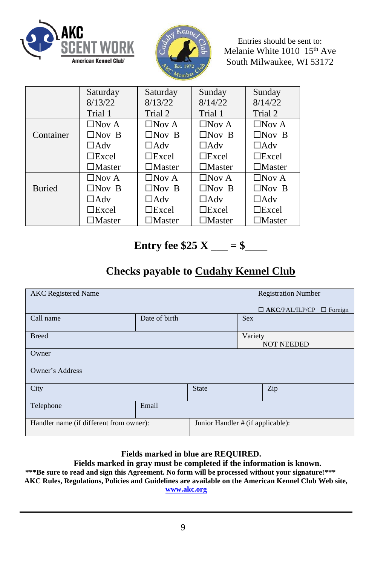



Entries should be sent to: Melanie White 1010 15<sup>th</sup> Ave South Milwaukee, WI 53172

|               | Saturday         | Saturday         | Sunday           | Sunday           |
|---------------|------------------|------------------|------------------|------------------|
|               | 8/13/22          | 8/13/22          | 8/14/22          | 8/14/22          |
|               | Trial 1          | Trial 2          | Trial 1          | Trial 2          |
|               | $\Box$ Nov A     | $\Box$ Nov A     | $\Box$ Nov A     | $\Box$ Nov A     |
| Container     | $\Box$ Nov B     | $\Box$ Nov B     | $\Box$ Nov B     | $\Box$ Nov B     |
|               | $\Box$ Adv       | $\Box$ Adv       | $\Box$ Adv       | $\Box$ Adv       |
|               | $\Box$ Excel     | $\Box$ Excel     | $\Box$ Excel     | $\Box$ Excel     |
|               | $\square$ Master | $\square$ Master | $\square$ Master | $\square$ Master |
|               | $\Box$ Nov A     | $\Box$ Nov A     | $\Box$ Nov A     | $\Box$ Nov A     |
| <b>Buried</b> | $\Box$ Nov B     | $\Box$ Nov B     | $\Box$ Nov B     | $\Box$ Nov B     |
|               | $\Box$ Adv       | $\Box$ Adv       | $\Box$ Adv       | $\Box$ Adv       |
|               | $\Box$ Excel     | $\Box$ Excel     | $\Box$ Excel     | $\Box$ Excel     |
|               | $\square$ Master | $\square$ Master | $\square$ Master | $\square$ Master |

# **Entry fee \$25**  $X =$  = \$

# **Checks payable to Cudahy Kennel Club**

| <b>AKC</b> Registered Name              |               |                                      |                              | <b>Registration Number</b> |  |  |
|-----------------------------------------|---------------|--------------------------------------|------------------------------|----------------------------|--|--|
|                                         |               | $\Box$ AKC/PAL/ILP/CP $\Box$ Foreign |                              |                            |  |  |
| Call name                               | Date of birth |                                      | <b>Sex</b>                   |                            |  |  |
| <b>Breed</b>                            |               |                                      | Variety<br><b>NOT NEEDED</b> |                            |  |  |
| Owner                                   |               |                                      |                              |                            |  |  |
| Owner's Address                         |               |                                      |                              |                            |  |  |
| City                                    |               | <b>State</b>                         |                              | Zip                        |  |  |
| Telephone                               | Email         |                                      |                              |                            |  |  |
| Handler name (if different from owner): |               | Junior Handler # (if applicable):    |                              |                            |  |  |

# **Fields marked in blue are REQUIRED.**

## **Fields marked in gray must be completed if the information is known.**

**\*\*\*Be sure to read and sign this Agreement. No form will be processed without your signature!\*\*\* AKC Rules, Regulations, Policies and Guidelines are available on the American Kennel Club Web site, [www.akc.org](http://www.akc.org/)**